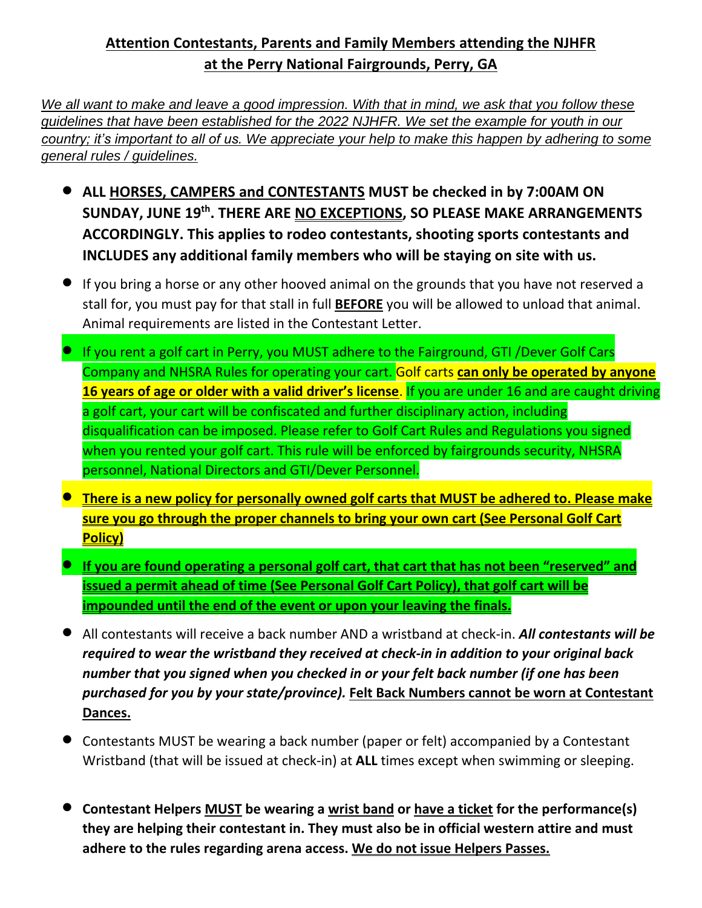## **Attention Contestants, Parents and Family Members attending the NJHFR at the Perry National Fairgrounds, Perry, GA**

*We all want to make and leave a good impression. With that in mind, we ask that you follow these guidelines that have been established for the 2022 NJHFR. We set the example for youth in our country; it's important to all of us. We appreciate your help to make this happen by adhering to some general rules / guidelines.*

- **ALL HORSES, CAMPERS and CONTESTANTS MUST be checked in by 7:00AM ON SUNDAY, JUNE 19th . THERE ARE NO EXCEPTIONS, SO PLEASE MAKE ARRANGEMENTS ACCORDINGLY. This applies to rodeo contestants, shooting sports contestants and INCLUDES any additional family members who will be staying on site with us.**
- If you bring a horse or any other hooved animal on the grounds that you have not reserved a stall for, you must pay for that stall in full **BEFORE** you will be allowed to unload that animal. Animal requirements are listed in the Contestant Letter.
- If you rent a golf cart in Perry, you MUST adhere to the Fairground, GTI /Dever Golf Cars Company and NHSRA Rules for operating your cart. Golf carts **can only be operated by anyone 16 years of age or older with a valid driver's license**. If you are under 16 and are caught driving a golf cart, your cart will be confiscated and further disciplinary action, including disqualification can be imposed. Please refer to Golf Cart Rules and Regulations you signed when you rented your golf cart. This rule will be enforced by fairgrounds security, NHSRA personnel, National Directors and GTI/Dever Personnel.
- **There is a new policy for personally owned golf carts that MUST be adhered to. Please make sure you go through the proper channels to bring your own cart (See Personal Golf Cart Policy)**
- **If you are found operating a personal golf cart, that cart that has not been "reserved" and issued a permit ahead of time (See Personal Golf Cart Policy), that golf cart will be impounded until the end of the event or upon your leaving the finals.**
- All contestants will receive a back number AND a wristband at check-in. *All contestants will be required to wear the wristband they received at check-in in addition to your original back number that you signed when you checked in or your felt back number (if one has been purchased for you by your state/province).* **Felt Back Numbers cannot be worn at Contestant Dances.**
- Contestants MUST be wearing a back number (paper or felt) accompanied by a Contestant Wristband (that will be issued at check-in) at **ALL** times except when swimming or sleeping.
- **Contestant Helpers MUST be wearing a wrist band or have a ticket for the performance(s) they are helping their contestant in. They must also be in official western attire and must adhere to the rules regarding arena access. We do not issue Helpers Passes.**